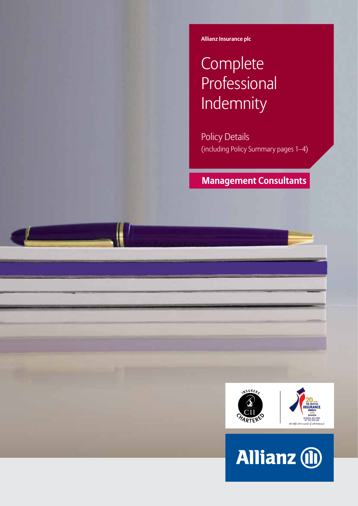**Allianz Insurance plc**

# **Complete** Professional Indemnity

Policy Details (including Policy Summary pages 1–4)

## **Management Consultants**



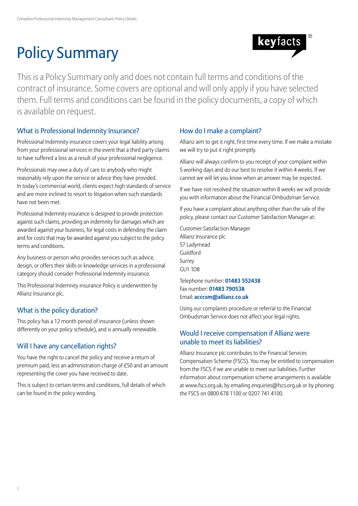# Policy Summary



This is a Policy Summary only and does not contain full terms and conditions of the contract of insurance. Some covers are optional and will only apply if you have selected them. Full terms and conditions can be found in the policy documents, a copy of which is available on request.

## What is Professional Indemnity Insurance?

Professional Indemnity insurance covers your legal liability arising from your professional services in the event that a third party claims to have suffered a loss as a result of your professional negligence.

Professionals may owe a duty of care to anybody who might reasonably rely upon the service or advice they have provided. In today's commercial world, clients expect high standards of service and are more inclined to resort to litigation when such standards have not been met.

Professional Indemnity insurance is designed to provide protection against such claims, providing an indemnity for damages which are awarded against your business, for legal costs in defending the claim and for costs that may be awarded against you subject to the policy terms and conditions.

Any business or person who provides services such as advice, design, or offers their skills or knowledge services in a professional category should consider Professional Indemnity insurance.

This Professional Indemnity insurance Policy is underwritten by Allianz Insurance plc.

## What is the policy duration?

This policy has a 12 month period of insurance (unless shown differently on your policy schedule), and is annually renewable.

## Will I have any cancellation rights?

You have the right to cancel the policy and receive a return of premium paid, less an administration charge of £50 and an amount representing the cover you have received to date.

This is subject to certain terms and conditions, full details of which can be found in the policy wording.

## How do I make a complaint?

Allianz aim to get it right, first time every time. If we make a mistake we will try to put it right promptly.

Allianz will always confirm to you receipt of your complaint within 5 working days and do our best to resolve it within 4 weeks. If we cannot we will let you know when an answer may be expected.

If we have not resolved the situation within 8 weeks we will provide you with information about the Financial Ombudsman Service.

If you have a complaint about anything other than the sale of the policy, please contact our Customer Satisfaction Manager at:

Customer Satisfaction Manager Allianz Insurance plc 57 Ladymead Guildford Surrey GU1 1DB

Telephone number: **01483 552438** Fax number: **01483 790538** Email: **acccsm@allianz.co.uk**

Using our complaints procedure or referral to the Financial Ombudsman Service does not affect your legal rights.

## Would I receive compensation if Allianz were unable to meet its liabilities?

Allianz Insurance plc contributes to the Financial Services Compensation Scheme (FSCS). You may be entitled to compensation from the FSCS if we are unable to meet our liabilities. Further information about compensation scheme arrangements is available at www.fscs.org.uk, by emailing enquiries@fscs.org.uk or by phoning the FSCS on 0800 678 1100 or 0207 741 4100.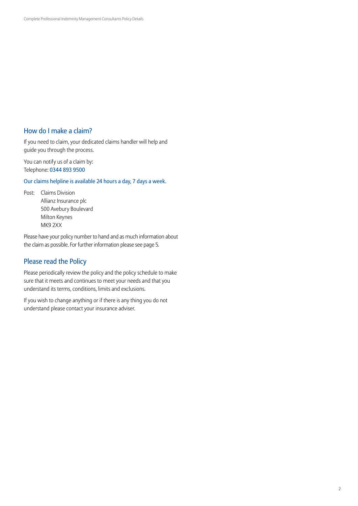## How do I make a claim?

If you need to claim, your dedicated claims handler will help and guide you through the process.

You can notify us of a claim by: Telephone: 0344 893 9500

Our claims helpline is available 24 hours a day, 7 days a week.

Post: Claims Division Allianz Insurance plc 500 Avebury Boulevard Milton Keynes MK9 2XX

Please have your policy number to hand and as much information about the claim as possible. For further information please see page 5.

## Please read the Policy

Please periodically review the policy and the policy schedule to make sure that it meets and continues to meet your needs and that you understand its terms, conditions, limits and exclusions.

If you wish to change anything or if there is any thing you do not understand please contact your insurance adviser.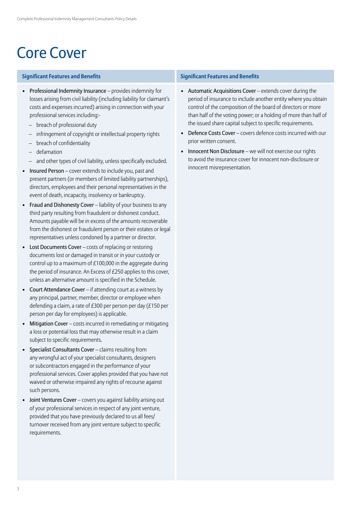## Core Cover

### **Significant Features and Benefits Significant Features and Benefits**

- Professional Indemnity Insurance provides indemnity for losses arising from civil liability (including liability for claimant's costs and expenses incurred) arising in connection with your professional services including:-
	- breach of professional duty
	- infringement of copyright or intellectual property rights
	- breach of confidentiality
	- defamation
	- and other types of civil liability, unless specifically excluded.
- Insured Person cover extends to include you, past and present partners (or members of limited liability partnerships), directors, employees and their personal representatives in the event of death, incapacity, insolvency or bankruptcy.
- Fraud and Dishonesty Cover liability of your business to any third party resulting from fraudulent or dishonest conduct. Amounts payable will be in excess of the amounts recoverable from the dishonest or fraudulent person or their estates or legal representatives unless condoned by a partner or director.
- Lost Documents Cover costs of replacing or restoring documents lost or damaged in transit or in your custody or control up to a maximum of £100,000 in the aggregate during the period of insurance. An Excess of £250 applies to this cover, unless an alternative amount is specified in the Schedule.
- Court Attendance Cover if attending court as a witness by any principal, partner, member, director or employee when defending a claim, a rate of £300 per person per day (£150 per person per day for employees) is applicable.
- Mitigation Cover costs incurred in remediating or mitigating a loss or potential loss that may otherwise result in a claim subject to specific requirements.
- Specialist Consultants Cover claims resulting from any wrongful act of your specialist consultants, designers or subcontractors engaged in the performance of your professional services. Cover applies provided that you have not waived or otherwise impaired any rights of recourse against such persons.
- Joint Ventures Cover covers you against liability arising out of your professional services in respect of any joint venture, provided that you have previously declared to us all fees/ turnover received from any joint venture subject to specific requirements.

- Automatic Acquisitions Cover extends cover during the period of insurance to include another entity where you obtain control of the composition of the board of directors or more than half of the voting power; or a holding of more than half of the issued share capital subject to specific requirements.
- Defence Costs Cover covers defence costs incurred with our prior written consent.
- Innocent Non Disclosure we will not exercise our rights to avoid the insurance cover for innocent non-disclosure or innocent misrepresentation.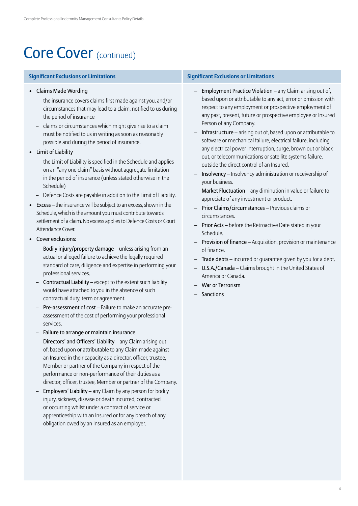## Core Cover (continued)

- Claims Made Wording
	- the insurance covers claims first made against you, and/or circumstances that may lead to a claim, notified to us during the period of insurance
	- claims or circumstances which might give rise to a claim must be notified to us in writing as soon as reasonably possible and during the period of insurance.
- Limit of Liability
	- the Limit of Liability is specified in the Schedule and applies on an "any one claim" basis without aggregate limitation in the period of insurance (unless stated otherwise in the Schedule)
	- Defence Costs are payable in addition to the Limit of Liability.
- Excess the insurance will be subject to an excess, shown in the Schedule, which is the amount you must contribute towards settlement of a claim. No excess applies to Defence Costs or Court Attendance Cover.
- Cover exclusions:
	- Bodily injury/property damage unless arising from an actual or alleged failure to achieve the legally required standard of care, diligence and expertise in performing your professional services.
	- Contractual Liability except to the extent such liability would have attached to you in the absence of such contractual duty, term or agreement.
	- Pre-assessment of cost Failure to make an accurate preassessment of the cost of performing your professional services.
	- Failure to arrange or maintain insurance
	- Directors' and Officers' Liability any Claim arising out of, based upon or attributable to any Claim made against an Insured in their capacity as a director, officer, trustee, Member or partner of the Company in respect of the performance or non-performance of their duties as a director, officer, trustee, Member or partner of the Company.
	- Employers' Liability any Claim by any person for bodily injury, sickness, disease or death incurred, contracted or occurring whilst under a contract of service or apprenticeship with an Insured or for any breach of any obligation owed by an Insured as an employer.

### **Significant Exclusions or Limitations Significant Exclusions or Limitations**

- Employment Practice Violation any Claim arising out of, based upon or attributable to any act, error or omission with respect to any employment or prospective employment of any past, present, future or prospective employee or Insured Person of any Company.
- Infrastructure arising out of, based upon or attributable to software or mechanical failure, electrical failure, including any electrical power interruption, surge, brown out or black out, or telecommunications or satellite systems failure, outside the direct control of an Insured.
- Insolvency Insolvency administration or receivership of your business.
- Market Fluctuation any diminution in value or failure to appreciate of any investment or product.
- Prior Claims/circumstances Previous claims or circumstances.
- Prior Acts before the Retroactive Date stated in your Schedule.
- Provision of finance Acquisition, provision or maintenance of finance.
- Trade debts incurred or guarantee given by you for a debt.
- U.S.A./Canada Claims brought in the United States of America or Canada.
- War or Terrorism
- Sanctions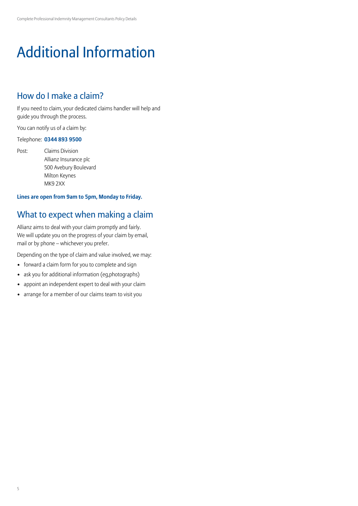# Additional Information

## How do I make a claim?

If you need to claim, your dedicated claims handler will help and guide you through the process.

You can notify us of a claim by:

### Telephone: **0344 893 9500**

Post: Claims Division Allianz Insurance plc 500 Avebury Boulevard Milton Keynes MK9 2XX

## **Lines are open from 9am to 5pm, Monday to Friday.**

## What to expect when making a claim

Allianz aims to deal with your claim promptly and fairly. We will update you on the progress of your claim by email, mail or by phone – whichever you prefer.

Depending on the type of claim and value involved, we may:

- forward a claim form for you to complete and sign
- ask you for additional information (eg,photographs)
- appoint an independent expert to deal with your claim
- arrange for a member of our claims team to visit you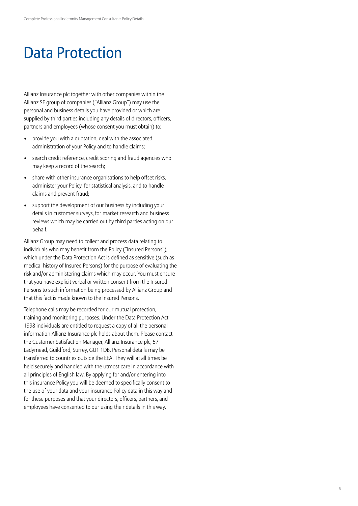## Data Protection

Allianz Insurance plc together with other companies within the Allianz SE group of companies ("Allianz Group") may use the personal and business details you have provided or which are supplied by third parties including any details of directors, officers, partners and employees (whose consent you must obtain) to:

- provide you with a quotation, deal with the associated administration of your Policy and to handle claims;
- search credit reference, credit scoring and fraud agencies who may keep a record of the search;
- share with other insurance organisations to help offset risks, administer your Policy, for statistical analysis, and to handle claims and prevent fraud;
- support the development of our business by including your details in customer surveys, for market research and business reviews which may be carried out by third parties acting on our behalf.

Allianz Group may need to collect and process data relating to individuals who may benefit from the Policy ("Insured Persons"), which under the Data Protection Act is defined as sensitive (such as medical history of Insured Persons) for the purpose of evaluating the risk and/or administering claims which may occur. You must ensure that you have explicit verbal or written consent from the Insured Persons to such information being processed by Allianz Group and that this fact is made known to the Insured Persons.

Telephone calls may be recorded for our mutual protection, training and monitoring purposes. Under the Data Protection Act 1998 individuals are entitled to request a copy of all the personal information Allianz Insurance plc holds about them. Please contact the Customer Satisfaction Manager, Allianz Insurance plc, 57 Ladymead, Guildford, Surrey, GU1 1DB. Personal details may be transferred to countries outside the EEA. They will at all times be held securely and handled with the utmost care in accordance with all principles of English law. By applying for and/or entering into this insurance Policy you will be deemed to specifically consent to the use of your data and your insurance Policy data in this way and for these purposes and that your directors, officers, partners, and employees have consented to our using their details in this way.